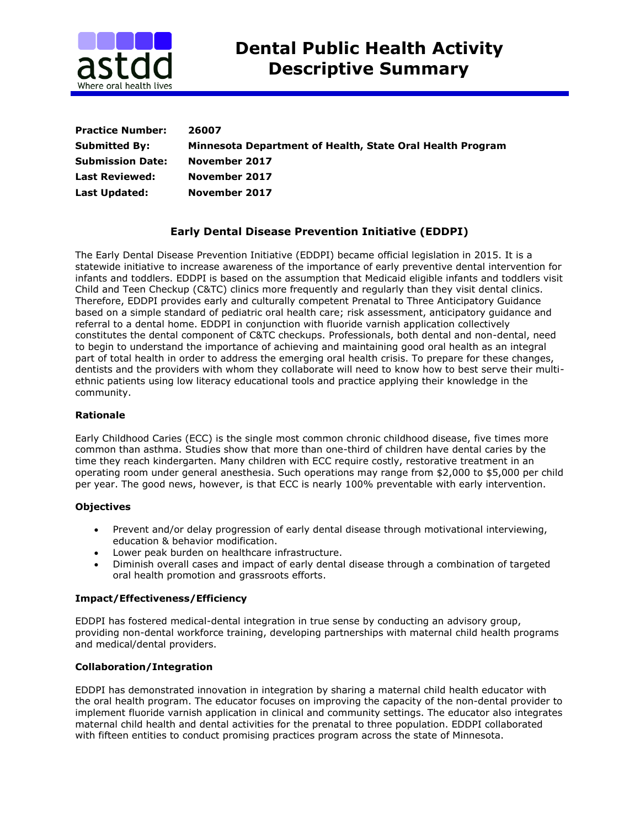

| <b>Practice Number:</b> | 26007                                                     |
|-------------------------|-----------------------------------------------------------|
| <b>Submitted By:</b>    | Minnesota Department of Health, State Oral Health Program |
| <b>Submission Date:</b> | November 2017                                             |
| <b>Last Reviewed:</b>   | November 2017                                             |
| <b>Last Updated:</b>    | November 2017                                             |

# **Early Dental Disease Prevention Initiative (EDDPI)**

The Early Dental Disease Prevention Initiative (EDDPI) became official legislation in 2015. It is a statewide initiative to increase awareness of the importance of early preventive dental intervention for infants and toddlers. EDDPI is based on the assumption that Medicaid eligible infants and toddlers visit Child and Teen Checkup (C&TC) clinics more frequently and regularly than they visit dental clinics. Therefore, EDDPI provides early and culturally competent Prenatal to Three Anticipatory Guidance based on a simple standard of pediatric oral health care; risk assessment, anticipatory guidance and referral to a dental home. EDDPI in conjunction with fluoride varnish application collectively constitutes the dental component of C&TC checkups. Professionals, both dental and non-dental, need to begin to understand the importance of achieving and maintaining good oral health as an integral part of total health in order to address the emerging oral health crisis. To prepare for these changes, dentists and the providers with whom they collaborate will need to know how to best serve their multiethnic patients using low literacy educational tools and practice applying their knowledge in the community.

### **Rationale**

Early Childhood Caries (ECC) is the single most common chronic childhood disease, five times more common than asthma. Studies show that more than one-third of children have dental caries by the time they reach kindergarten. Many children with ECC require costly, restorative treatment in an operating room under general anesthesia. Such operations may range from \$2,000 to \$5,000 per child per year. The good news, however, is that ECC is nearly 100% preventable with early intervention.

# **Objectives**

- Prevent and/or delay progression of early dental disease through motivational interviewing, education & behavior modification.
- Lower peak burden on healthcare infrastructure.
- Diminish overall cases and impact of early dental disease through a combination of targeted oral health promotion and grassroots efforts.

# **Impact/Effectiveness/Efficiency**

EDDPI has fostered medical-dental integration in true sense by conducting an advisory group, providing non-dental workforce training, developing partnerships with maternal child health programs and medical/dental providers.

# **Collaboration/Integration**

EDDPI has demonstrated innovation in integration by sharing a maternal child health educator with the oral health program. The educator focuses on improving the capacity of the non-dental provider to implement fluoride varnish application in clinical and community settings. The educator also integrates maternal child health and dental activities for the prenatal to three population. EDDPI collaborated with fifteen entities to conduct promising practices program across the state of Minnesota.